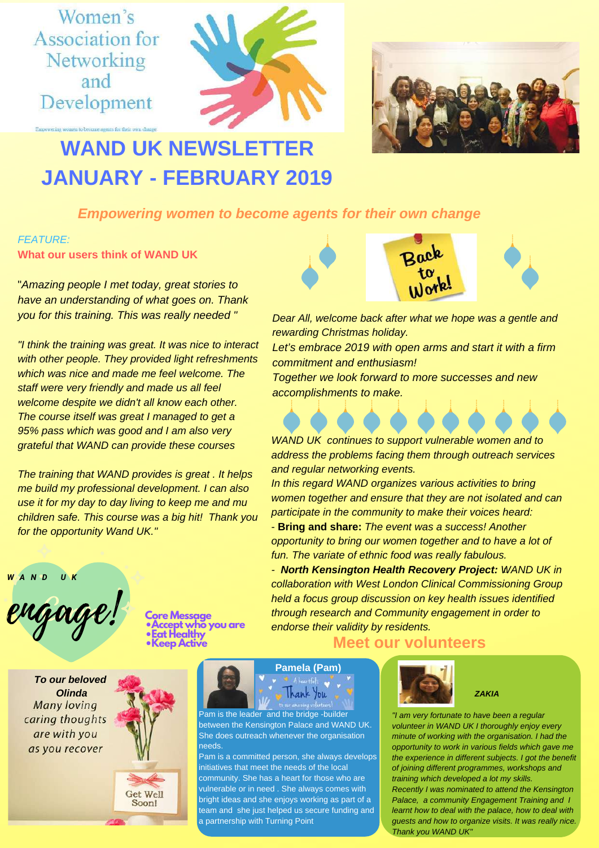Women's **Association for** Networking and Development





# **WAND UK NEWSLET JANUARY - FEBRUARY 2019**

*Empowering women to become agents for their own change*

# *FEATURE:* **What our users think of WAND UK**

"*Amazing people I met today, great stories to have an understanding of what goes on. Thank you for this training. This was really needed "*

*"I think the training was great. It was nice to interact with other people. They provided light refreshments which was nice and made me feel welcome. The staff were very friendly and made us all feel welcome despite we didn't all know each other. The course itself was great I managed to get a 95% pass which was good and I am also very grateful that WAND can provide these courses*

*The training that WAND provides is great . It helps me build my professional development. I can also use it for my day to day living to keep me and mu children safe. This course was a big hit! Thank you for the opportunity Wand UK."*



**Core Message •Accept who you are •Eat Healthy •Keep Active**

*To our beloved Olinda* **Many loving** caring thoughts are with you as you recover





Pam is the leader and the bridge -builder between the Kensington Palace and WAND UK. She does outreach whenever the organisation needs.

Pam is a committed person, she always develops initiatives that meet the needs of the local community. She has a heart for those who are vulnerable or in need . She always comes with bright ideas and she enjoys working as part of a team and she just helped us secure funding and a partnership with Turning Point



*Dear All, welcome back after what we hope was a gentle and rewarding Christmas holiday.*

*Let's embrace 2019 with open arms and start it with a firm commitment and enthusiasm!*

*Together we look forward to more successes and new accomplishments to make.*

*WAND UK continues to support vulnerable women and to address the problems facing them through outreach services and regular networking events.*

*In this regard WAND organizes various activities to bring women together and ensure that they are not isolated and can participate in the community to make their voices heard:* 

- **Bring and share:** *The event was a success! Another opportunity to bring our women together and to have a lot of fun. The variate of ethnic food was really fabulous.*

*- North Kensington Health Recovery Project: WAND UK in t. collaboration with West London Clinical Commissioning Group held a focus group discussion on key health issues identified through research and Community engagement in order to endorse their validity by residents.*

# **Meet our volunteers**



*ZAKIA*

*"I am very fortunate to have been a regular volunteer in WAND UK I thoroughly enjoy every minute of working with the organisation. I had the opportunity to work in various fields which gave me the experience in different subjects. I got the benefit of joining different programmes, workshops and training which developed a lot my skills. Recently I was nominated to attend the Kensington Palace, a community Engagement Training and I learnt how to deal with the palace, how to deal with guests and how to organize visits. It was really nice. Thank you WAND UK"*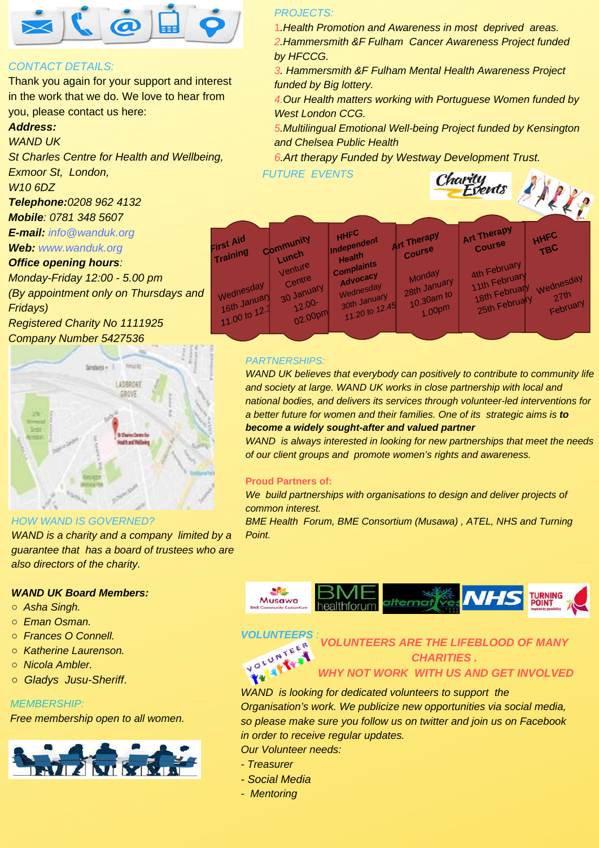

## *CONTACT DETAILS:*

Thank you again for your support and interest in the work that we do. We love to hear from you, please contact us here:

## *Address:*

*WAND UK*

*St Charles Centre for Health and Wellbeing, Exmoor St, London,*

*W10 6DZ*

*Telephone:0208 962 4132*

*Mobile: 0781 348 5607*

*E-mail: info@wanduk.org*

*Web: www.wanduk.org*

## *Office opening hours:*

*Monday-Friday 12:00 - 5.00 pm (By appointment only on Thursdays and*

*Fridays) Registered Charity No 1111925*

*Company Number 5427536*



#### *HOW WAND IS GOVERNED?*

*WAND is a charity and a company limited by a guarantee that has a board of trustees who are also directors of the charity.*

#### *WAND UK Board Members:*

- *Asha Singh.*
- *Eman Osman.*
- *Frances O Connell.*
- *Katherine Laurenson.*
- *Nicola Ambler.*
- *○ Gladys Jusu-Sheriff*.

#### *MEMBERSHIP:*

*Free membership open to all women.*



#### *PROJECTS:*

1*.Health Promotion and Awareness in most deprived areas. 2.Hammersmith &F Fulham Cancer Awareness Project funded by HFCCG.*

*3. Hammersmith &F Fulham Mental Health Awareness Project funded by Big lottery.*

*4.Our Health matters working with Portuguese Women funded by West London CCG.*

*5.Multilingual Emotional Well-being Project funded by Kensington and Chelsea Public Health*

*6.Art therapy Funded by Westway Development Trust.*

*FUTURE EVENTS*



| FIrst Aid<br>Training         | Community                                | <b>HHFO</b><br>Independent                           | <b>Art Therapy</b><br>Course | Art Therapy<br>Course                          | HHFL<br>TBC       |
|-------------------------------|------------------------------------------|------------------------------------------------------|------------------------------|------------------------------------------------|-------------------|
| Wednesday                     | Lunch<br>Venture<br>Centre<br>30 January | Health<br><b>Complaints</b><br>Advocacy<br>Wednesday | Monday<br>28th January       | 4th February<br>11th February<br>18th February | Wednesday<br>27th |
| 16th January<br>11.00 to 12.3 | $12.00 -$<br>02.00pm                     | 30th January<br>11.20 to 12.45                       | 10.30am to<br>$-1.00pm$      | 25th February                                  | February          |

## *PARTNERSHIPS:*

*WAND UK believes that everybody can positively to contribute to community life and society at large. WAND UK works in close partnership with local and national bodies, and delivers its services through volunteer-led interventions for a better future for women and their families. One of its strategic aims is to become a widely sought-after and valued partner*

*WAND is always interested in looking for new partnerships that meet the needs of our client groups and promote women's rights and awareness.* 

#### **Proud Partners of:**

*We build partnerships with organisations to design and deliver projects of common interest.*

*BME Health Forum, BME Consortium (Musawa) , ATEL, NHS and Turning Point.*





*VOLUNTEERS ARE THE LIFEBLOOD OF MANY CHARITIES . WHY NOT WORK WITH US AND GET INVOLVED*

*WAND is looking for dedicated volunteers to support the Organisation's work. We publicize new opportunities via social media, so please make sure you follow us on twitter and join us on Facebook in order to receive regular updates.*

*Our Volunteer needs:*

- *Treasurer*
- *- Social Media*
- *Mentoring*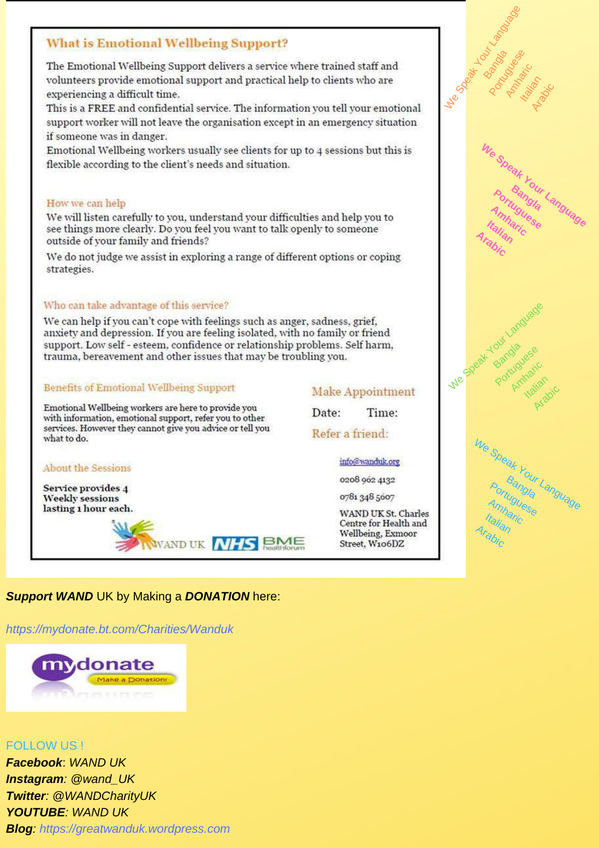# **What is Emotional Wellbeing Support?**

The Emotional Wellbeing Support delivers a service where trained staff and volunteers provide emotional support and practical help to clients who are experiencing a difficult time.

This is a FREE and confidential service. The information you tell your emotional support worker will not leave the organisation except in an emergency situation if someone was in danger.

Emotional Wellbeing workers usually see clients for up to 4 sessions but this is flexible according to the client's needs and situation.

#### How we can help

We will listen carefully to you, understand your difficulties and help you to see things more clearly. Do you feel you want to talk openly to someone outside of your family and friends?

We do not judge we assist in exploring a range of different options or coping strategies.

#### Who can take advantage of this service?

We can help if you can't cope with feelings such as anger, sadness, grief, anxiety and depression. If you are feeling isolated, with no family or friend support. Low self - esteem, confidence or relationship problems. Self harm, trauma, bereavement and other issues that may be troubling you.

#### **Benefits of Emotional Wellbeing Support**

Emotional Wellbeing workers are here to provide you with information, emotional support, refer you to other services. However they cannot give you advice or tell you what to do.

#### **About the Sessions**

Service provides 4 **Weekly** sessions lasting 1 hour each.



# Make Appointment

Date: Time:

Refer a friend:

info@wanduk.org

0208 962 4132

0781 348 5607

WAND UK St. Charles Centre for Health and Wellbeing, Exmoor Street, W106DZ



# **Support WAND** UK by Making a **DONATION** here:

https://mydonate.bt.com/Charities/Wanduk



**FOLLOW US L Facebook: WAND UK Instagram: @wand UK Twitter: @WANDCharityUK** YOUTUBE: WAND UK **Blog:** https://greatwanduk.wordpress.com